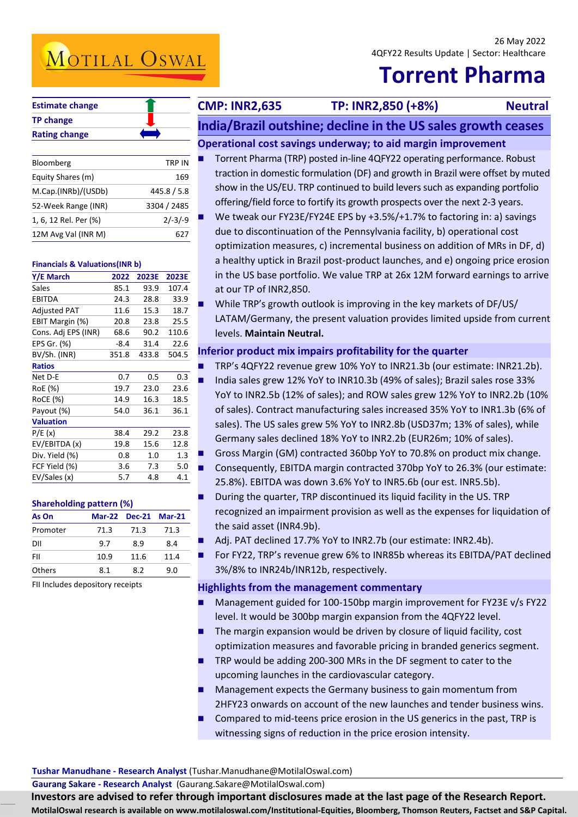۱

# **Torrent Pharma**

| <b>Estimate change</b> |  |
|------------------------|--|
| <b>TP change</b>       |  |
| <b>Rating change</b>   |  |

| Bloomberg             | TRP IN      |
|-----------------------|-------------|
| Equity Shares (m)     | 169         |
| M.Cap.(INRb)/(USDb)   | 445.8 / 5.8 |
| 52-Week Range (INR)   | 3304 / 2485 |
| 1, 6, 12 Rel. Per (%) | $2/-3/-9$   |
| 12M Avg Val (INR M)   |             |

### **Financials & Valuations(INR b)**

| Y/E March           | 2022   | 2023E | 2023E |
|---------------------|--------|-------|-------|
| Sales               | 85.1   | 93.9  | 107.4 |
| EBITDA              | 24.3   | 28.8  | 33.9  |
| <b>Adjusted PAT</b> | 11.6   | 15.3  | 18.7  |
| EBIT Margin (%)     | 20.8   | 23.8  | 25.5  |
| Cons. Adj EPS (INR) | 68.6   | 90.2  | 110.6 |
| EPS Gr. (%)         | $-8.4$ | 31.4  | 22.6  |
| BV/Sh. (INR)        | 351.8  | 433.8 | 504.5 |
| <b>Ratios</b>       |        |       |       |
| Net D-E             | 0.7    | 0.5   | 0.3   |
| RoE (%)             | 19.7   | 23.0  | 23.6  |
| RoCE (%)            | 14.9   | 16.3  | 18.5  |
| Payout (%)          | 54.0   | 36.1  | 36.1  |
| <b>Valuation</b>    |        |       |       |
| P/E(x)              | 38.4   | 29.2  | 23.8  |
| EV/EBITDA (x)       | 19.8   | 15.6  | 12.8  |
| Div. Yield (%)      | 0.8    | 1.0   | 1.3   |
| FCF Yield (%)       | 3.6    | 7.3   | 5.0   |
| EV/Sales (x)        | 5.7    | 4.8   | 4.1   |
|                     |        |       |       |

### **Shareholding pattern (%)**

| As On         |      | Mar-22 Dec-21 Mar-21 |      |
|---------------|------|----------------------|------|
| Promoter      | 71.3 | 71.3                 | 71.3 |
| DII           | 9.7  | 8.9                  | 8.4  |
| FII           | 10.9 | 11.6                 | 11.4 |
| <b>Others</b> | 8.1  | 8.2                  | 9.N  |

FII Includes depository receipts

## **CMP: INR2,635 TP: INR2,850 (+8%) Neutral**

**India/Brazil outshine; decline in the US sales growth ceases** 

- **Operational cost savings underway; to aid margin improvement** 
	- Torrent Pharma (TRP) posted in-line 4QFY22 operating performance. Robust traction in domestic formulation (DF) and growth in Brazil were offset by muted show in the US/EU. TRP continued to build levers such as expanding portfolio offering/field force to fortify its growth prospects over the next 2-3 years.
	- We tweak our FY23E/FY24E EPS by +3.5%/+1.7% to factoring in: a) savings due to discontinuation of the Pennsylvania facility, b) operational cost optimization measures, c) incremental business on addition of MRs in DF, d) a healthy uptick in Brazil post-product launches, and e) ongoing price erosion in the US base portfolio. We value TRP at 26x 12M forward earnings to arrive at our TP of INR2,850.
- While TRP's growth outlook is improving in the key markets of DF/US/ LATAM/Germany, the present valuation provides limited upside from current levels. **Maintain Neutral.**

## **Inferior product mix impairs profitability for the quarter**

- TRP's 4QFY22 revenue grew 10% YoY to INR21.3b (our estimate: INR21.2b).
- India sales grew 12% YoY to INR10.3b (49% of sales); Brazil sales rose 33% YoY to INR2.5b (12% of sales); and ROW sales grew 12% YoY to INR2.2b (10% of sales). Contract manufacturing sales increased 35% YoY to INR1.3b (6% of sales). The US sales grew 5% YoY to INR2.8b (USD37m; 13% of sales), while Germany sales declined 18% YoY to INR2.2b (EUR26m; 10% of sales).
- Gross Margin (GM) contracted 360bp YoY to 70.8% on product mix change.
- Consequently, EBITDA margin contracted 370bp YoY to 26.3% (our estimate: 25.8%). EBITDA was down 3.6% YoY to INR5.6b (our est. INR5.5b).
- During the quarter, TRP discontinued its liquid facility in the US. TRP recognized an impairment provision as well as the expenses for liquidation of the said asset (INR4.9b).
- Adj. PAT declined 17.7% YoY to INR2.7b (our estimate: INR2.4b).
- For FY22, TRP's revenue grew 6% to INR85b whereas its EBITDA/PAT declined 3%/8% to INR24b/INR12b, respectively.

### **Highlights from the management commentary**

- Management guided for 100-150bp margin improvement for FY23E v/s FY22 level. It would be 300bp margin expansion from the 4QFY22 level.
- The margin expansion would be driven by closure of liquid facility, cost optimization measures and favorable pricing in branded generics segment.
- TRP would be adding 200-300 MRs in the DF segment to cater to the upcoming launches in the cardiovascular category.
- Management expects the Germany business to gain momentum from 2HFY23 onwards on account of the new launches and tender business wins.
- Compared to mid-teens price erosion in the US generics in the past, TRP is witnessing signs of reduction in the price erosion intensity.

### **Tushar Manudhane - Research Analyst** (Tushar.Manudhane@MotilalOswal.com)

**Gaurang Sakare - Research Analyst** (Gaurang.Sakare@MotilalOswal.com)

Investors are advised to refer through important disclosures made at the last page of the Research Report. **MotilalOswal research is available on www.motilaloswal.com/Institutional-Equities, Bloomberg, Thomson Reuters, Factset and S&P Capital.**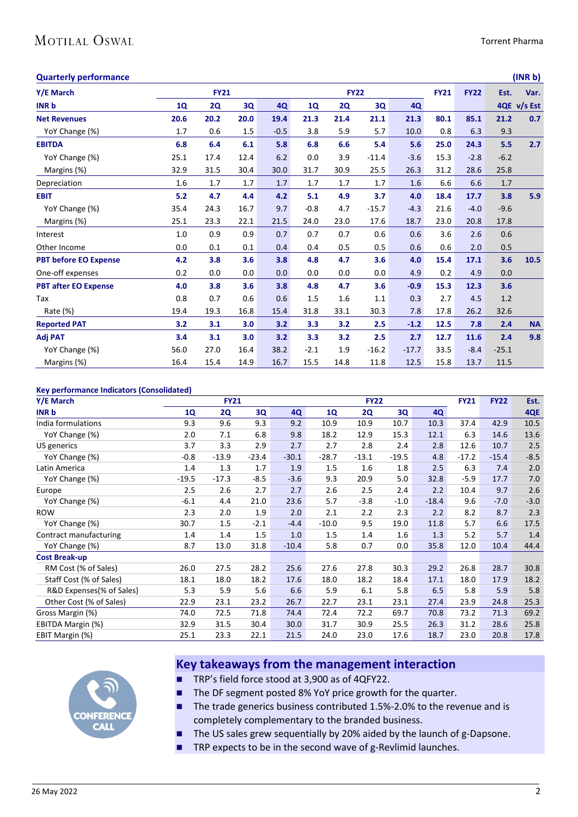## MOTILAL OSWAL

### **Quarterly performance (INR b)**

| gaarten ja periormanee       |      |             |      |        |           |             |         |         |             |             |         | $\cdots \cdots$ |
|------------------------------|------|-------------|------|--------|-----------|-------------|---------|---------|-------------|-------------|---------|-----------------|
| Y/E March                    |      | <b>FY21</b> |      |        |           | <b>FY22</b> |         |         | <b>FY21</b> | <b>FY22</b> | Est.    | Var.            |
| <b>INR b</b>                 | 1Q   | <b>2Q</b>   | 3Q   | 4Q     | <b>1Q</b> | <b>2Q</b>   | 3Q      | 4Q      |             |             |         | 4QE v/s Est     |
| <b>Net Revenues</b>          | 20.6 | 20.2        | 20.0 | 19.4   | 21.3      | 21.4        | 21.1    | 21.3    | 80.1        | 85.1        | 21.2    | 0.7             |
| YoY Change (%)               | 1.7  | 0.6         | 1.5  | $-0.5$ | 3.8       | 5.9         | 5.7     | 10.0    | 0.8         | 6.3         | 9.3     |                 |
| <b>EBITDA</b>                | 6.8  | 6.4         | 6.1  | 5.8    | 6.8       | 6.6         | 5.4     | 5.6     | 25.0        | 24.3        | 5.5     | 2.7             |
| YoY Change (%)               | 25.1 | 17.4        | 12.4 | 6.2    | 0.0       | 3.9         | $-11.4$ | $-3.6$  | 15.3        | $-2.8$      | $-6.2$  |                 |
| Margins (%)                  | 32.9 | 31.5        | 30.4 | 30.0   | 31.7      | 30.9        | 25.5    | 26.3    | 31.2        | 28.6        | 25.8    |                 |
| Depreciation                 | 1.6  | 1.7         | 1.7  | 1.7    | 1.7       | 1.7         | 1.7     | 1.6     | 6.6         | 6.6         | $1.7$   |                 |
| <b>EBIT</b>                  | 5.2  | 4.7         | 4.4  | 4.2    | 5.1       | 4.9         | 3.7     | 4.0     | 18.4        | 17.7        | 3.8     | 5.9             |
| YoY Change (%)               | 35.4 | 24.3        | 16.7 | 9.7    | $-0.8$    | 4.7         | $-15.7$ | $-4.3$  | 21.6        | $-4.0$      | $-9.6$  |                 |
| Margins (%)                  | 25.1 | 23.3        | 22.1 | 21.5   | 24.0      | 23.0        | 17.6    | 18.7    | 23.0        | 20.8        | 17.8    |                 |
| Interest                     | 1.0  | 0.9         | 0.9  | 0.7    | 0.7       | 0.7         | 0.6     | 0.6     | 3.6         | 2.6         | 0.6     |                 |
| Other Income                 | 0.0  | 0.1         | 0.1  | 0.4    | 0.4       | 0.5         | 0.5     | 0.6     | 0.6         | 2.0         | 0.5     |                 |
| <b>PBT before EO Expense</b> | 4.2  | 3.8         | 3.6  | 3.8    | 4.8       | 4.7         | 3.6     | 4.0     | 15.4        | 17.1        | 3.6     | 10.5            |
| One-off expenses             | 0.2  | 0.0         | 0.0  | 0.0    | 0.0       | 0.0         | 0.0     | 4.9     | 0.2         | 4.9         | 0.0     |                 |
| <b>PBT after EO Expense</b>  | 4.0  | 3.8         | 3.6  | 3.8    | 4.8       | 4.7         | 3.6     | $-0.9$  | 15.3        | 12.3        | 3.6     |                 |
| Tax                          | 0.8  | 0.7         | 0.6  | 0.6    | 1.5       | 1.6         | 1.1     | 0.3     | 2.7         | 4.5         | 1.2     |                 |
| Rate (%)                     | 19.4 | 19.3        | 16.8 | 15.4   | 31.8      | 33.1        | 30.3    | 7.8     | 17.8        | 26.2        | 32.6    |                 |
| <b>Reported PAT</b>          | 3.2  | 3.1         | 3.0  | 3.2    | 3.3       | 3.2         | 2.5     | $-1.2$  | 12.5        | 7.8         | 2.4     | <b>NA</b>       |
| <b>Adj PAT</b>               | 3.4  | 3.1         | 3.0  | 3.2    | 3.3       | 3.2         | 2.5     | 2.7     | 12.7        | 11.6        | 2.4     | 9.8             |
| YoY Change (%)               | 56.0 | 27.0        | 16.4 | 38.2   | $-2.1$    | 1.9         | $-16.2$ | $-17.7$ | 33.5        | $-8.4$      | $-25.1$ |                 |
| Margins (%)                  | 16.4 | 15.4        | 14.9 | 16.7   | 15.5      | 14.8        | 11.8    | 12.5    | 15.8        | 13.7        | 11.5    |                 |

### **Key performance Indicators (Consolidated)**

| ney performance mateators (consonaatea)<br>Y/E March | <b>FY21</b> |           |         |         | <b>FY22</b> |           |         |         | <b>FY21</b> | <b>FY22</b> | Est.   |
|------------------------------------------------------|-------------|-----------|---------|---------|-------------|-----------|---------|---------|-------------|-------------|--------|
| <b>INR b</b>                                         | <b>1Q</b>   | <b>2Q</b> | 3Q      | 4Q      | <b>1Q</b>   | <b>2Q</b> | 3Q      | 4Q      |             |             | 4QE    |
| India formulations                                   | 9.3         | 9.6       | 9.3     | 9.2     | 10.9        | 10.9      | 10.7    | 10.3    | 37.4        | 42.9        | 10.5   |
| YoY Change (%)                                       | 2.0         | 7.1       | 6.8     | 9.8     | 18.2        | 12.9      | 15.3    | 12.1    | 6.3         | 14.6        | 13.6   |
| US generics                                          | 3.7         | 3.3       | 2.9     | 2.7     | 2.7         | 2.8       | 2.4     | 2.8     | 12.6        | 10.7        | 2.5    |
| YoY Change (%)                                       | $-0.8$      | $-13.9$   | $-23.4$ | $-30.1$ | $-28.7$     | $-13.1$   | $-19.5$ | 4.8     | $-17.2$     | $-15.4$     | $-8.5$ |
| Latin America                                        | 1.4         | 1.3       | 1.7     | 1.9     | 1.5         | 1.6       | 1.8     | 2.5     | 6.3         | 7.4         | 2.0    |
| YoY Change (%)                                       | $-19.5$     | $-17.3$   | $-8.5$  | $-3.6$  | 9.3         | 20.9      | 5.0     | 32.8    | $-5.9$      | 17.7        | 7.0    |
| Europe                                               | 2.5         | 2.6       | 2.7     | 2.7     | 2.6         | 2.5       | 2.4     | 2.2     | 10.4        | 9.7         | 2.6    |
| YoY Change (%)                                       | $-6.1$      | 4.4       | 21.0    | 23.6    | 5.7         | $-3.8$    | $-1.0$  | $-18.4$ | 9.6         | $-7.0$      | $-3.0$ |
| <b>ROW</b>                                           | 2.3         | 2.0       | 1.9     | 2.0     | 2.1         | 2.2       | 2.3     | 2.2     | 8.2         | 8.7         | 2.3    |
| YoY Change (%)                                       | 30.7        | 1.5       | $-2.1$  | $-4.4$  | $-10.0$     | 9.5       | 19.0    | 11.8    | 5.7         | 6.6         | 17.5   |
| Contract manufacturing                               | 1.4         | 1.4       | 1.5     | 1.0     | 1.5         | 1.4       | 1.6     | 1.3     | 5.2         | 5.7         | 1.4    |
| YoY Change (%)                                       | 8.7         | 13.0      | 31.8    | $-10.4$ | 5.8         | 0.7       | 0.0     | 35.8    | 12.0        | 10.4        | 44.4   |
| <b>Cost Break-up</b>                                 |             |           |         |         |             |           |         |         |             |             |        |
| RM Cost (% of Sales)                                 | 26.0        | 27.5      | 28.2    | 25.6    | 27.6        | 27.8      | 30.3    | 29.2    | 26.8        | 28.7        | 30.8   |
| Staff Cost (% of Sales)                              | 18.1        | 18.0      | 18.2    | 17.6    | 18.0        | 18.2      | 18.4    | 17.1    | 18.0        | 17.9        | 18.2   |
| R&D Expenses(% of Sales)                             | 5.3         | 5.9       | 5.6     | 6.6     | 5.9         | 6.1       | 5.8     | 6.5     | 5.8         | 5.9         | 5.8    |
| Other Cost (% of Sales)                              | 22.9        | 23.1      | 23.2    | 26.7    | 22.7        | 23.1      | 23.1    | 27.4    | 23.9        | 24.8        | 25.3   |
| Gross Margin (%)                                     | 74.0        | 72.5      | 71.8    | 74.4    | 72.4        | 72.2      | 69.7    | 70.8    | 73.2        | 71.3        | 69.2   |
| EBITDA Margin (%)                                    | 32.9        | 31.5      | 30.4    | 30.0    | 31.7        | 30.9      | 25.5    | 26.3    | 31.2        | 28.6        | 25.8   |
| EBIT Margin (%)                                      | 25.1        | 23.3      | 22.1    | 21.5    | 24.0        | 23.0      | 17.6    | 18.7    | 23.0        | 20.8        | 17.8   |



## **Key takeaways from the management interaction**

- TRP's field force stood at 3,900 as of 4QFY22.
- The DF segment posted 8% YoY price growth for the quarter.
- The trade generics business contributed 1.5%-2.0% to the revenue and is completely complementary to the branded business.
- The US sales grew sequentially by 20% aided by the launch of g-Dapsone.
- TRP expects to be in the second wave of g-Revlimid launches.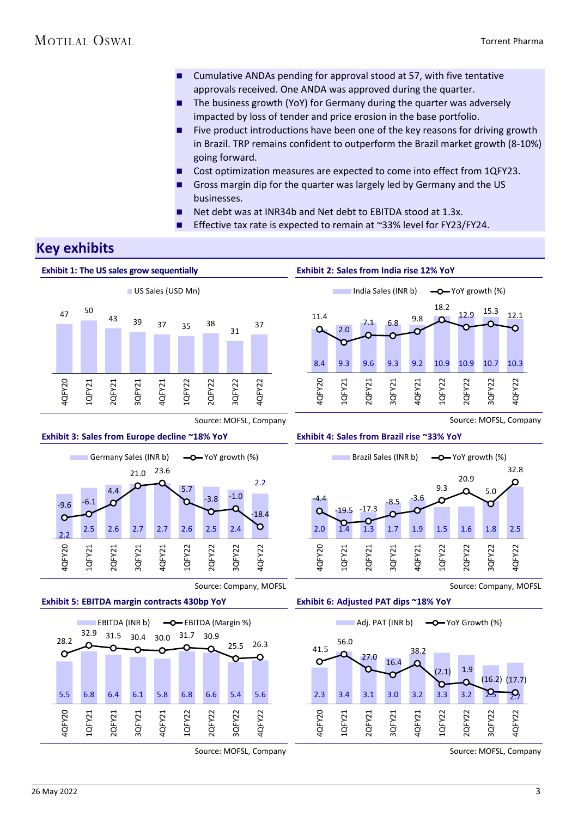- Cumulative ANDAs pending for approval stood at 57, with five tentative approvals received. One ANDA was approved during the quarter.
- The business growth (YoY) for Germany during the quarter was adversely impacted by loss of tender and price erosion in the base portfolio.
- Five product introductions have been one of the key reasons for driving growth in Brazil. TRP remains confident to outperform the Brazil market growth (8-10%) going forward.
- Cost optimization measures are expected to come into effect from 1QFY23.
- Gross margin dip for the quarter was largely led by Germany and the US businesses.
- Net debt was at INR34b and Net debt to EBITDA stood at 1.3x.
- Effective tax rate is expected to remain at ~33% level for FY23/FY24.

## **Key exhibits**



**Exhibit 2: Sales from India rise 12% YoY**



Source: MOFSL, Company





Source: Company, MOFSL





Source: MOFSL, Company

**Exhibit 4: Sales from Brazil rise ~33% YoY** 



Source: Company, MOFSL



Source: MOFSL, Company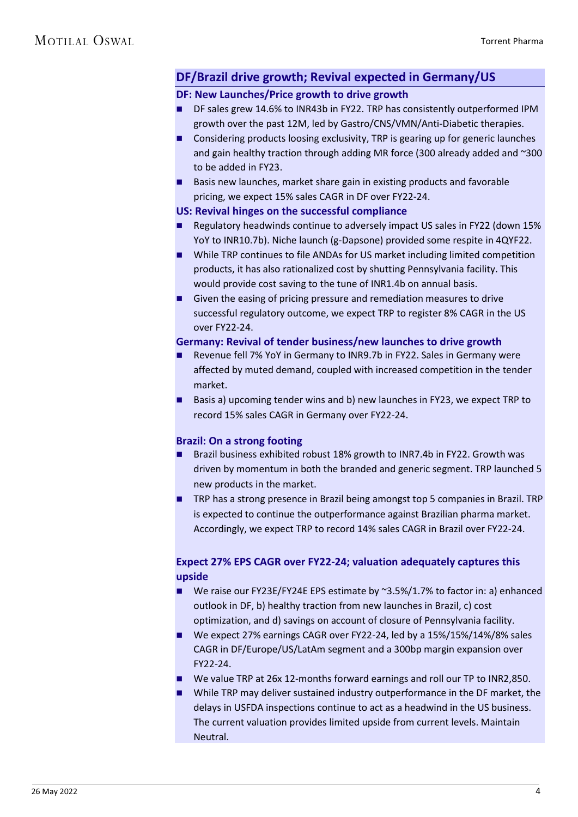## **DF/Brazil drive growth; Revival expected in Germany/US**

## **DF: New Launches/Price growth to drive growth**

- DF sales grew 14.6% to INR43b in FY22. TRP has consistently outperformed IPM growth over the past 12M, led by Gastro/CNS/VMN/Anti-Diabetic therapies.
- Considering products loosing exclusivity, TRP is gearing up for generic launches and gain healthy traction through adding MR force (300 already added and ~300 to be added in FY23.
- Basis new launches, market share gain in existing products and favorable pricing, we expect 15% sales CAGR in DF over FY22-24.

## **US: Revival hinges on the successful compliance**

- Regulatory headwinds continue to adversely impact US sales in FY22 (down 15% YoY to INR10.7b). Niche launch (g-Dapsone) provided some respite in 4QYF22.
- While TRP continues to file ANDAs for US market including limited competition products, it has also rationalized cost by shutting Pennsylvania facility. This would provide cost saving to the tune of INR1.4b on annual basis.
- Given the easing of pricing pressure and remediation measures to drive successful regulatory outcome, we expect TRP to register 8% CAGR in the US over FY22-24.

## **Germany: Revival of tender business/new launches to drive growth**

- Revenue fell 7% YoY in Germany to INR9.7b in FY22. Sales in Germany were affected by muted demand, coupled with increased competition in the tender market.
- Basis a) upcoming tender wins and b) new launches in FY23, we expect TRP to record 15% sales CAGR in Germany over FY22-24.

## **Brazil: On a strong footing**

- Brazil business exhibited robust 18% growth to INR7.4b in FY22. Growth was driven by momentum in both the branded and generic segment. TRP launched 5 new products in the market.
- TRP has a strong presence in Brazil being amongst top 5 companies in Brazil. TRP is expected to continue the outperformance against Brazilian pharma market. Accordingly, we expect TRP to record 14% sales CAGR in Brazil over FY22-24.

## **Expect 27% EPS CAGR over FY22-24; valuation adequately captures this upside**

- We raise our FY23E/FY24E EPS estimate by ~3.5%/1.7% to factor in: a) enhanced outlook in DF, b) healthy traction from new launches in Brazil, c) cost optimization, and d) savings on account of closure of Pennsylvania facility.
- We expect 27% earnings CAGR over FY22-24, led by a 15%/15%/14%/8% sales CAGR in DF/Europe/US/LatAm segment and a 300bp margin expansion over FY22-24.
- We value TRP at 26x 12-months forward earnings and roll our TP to INR2,850.
- While TRP may deliver sustained industry outperformance in the DF market, the delays in USFDA inspections continue to act as a headwind in the US business. The current valuation provides limited upside from current levels. Maintain Neutral.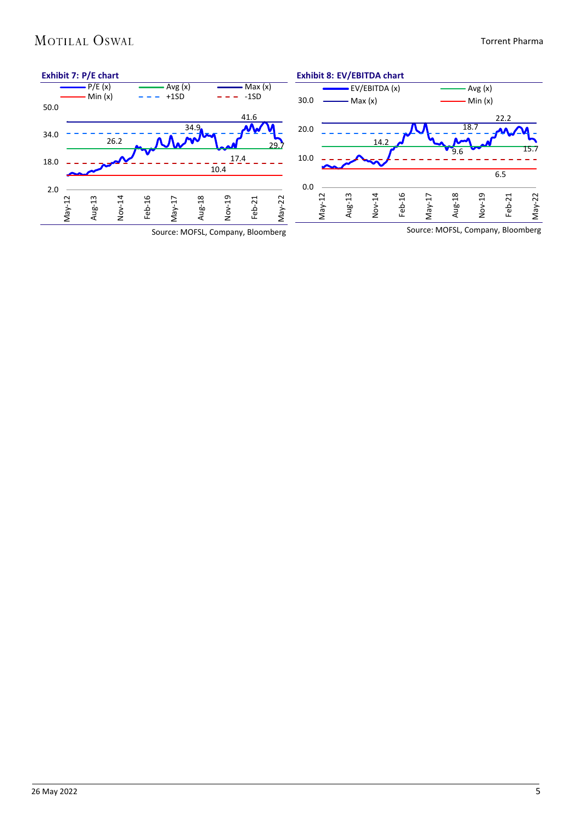## MOTILAL OSWAL

### Torrent Pharma

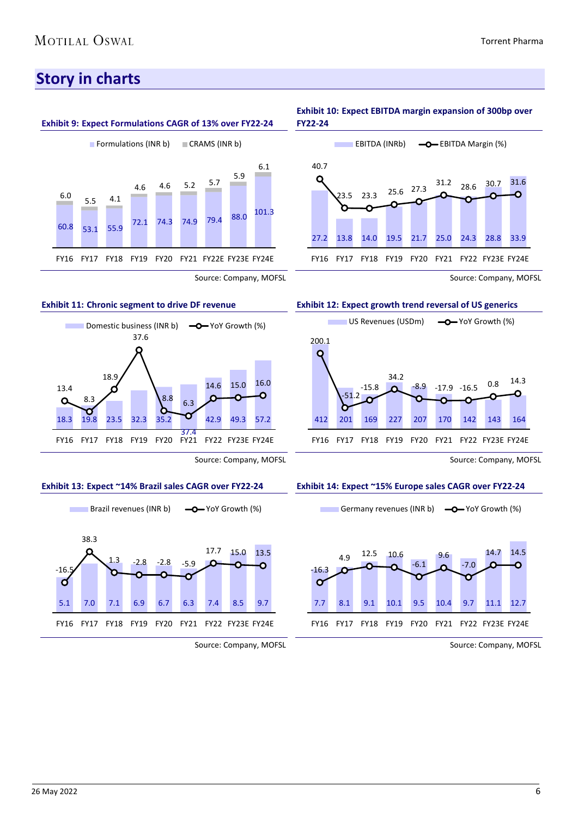## **Story in charts**



Source: Company, MOFSL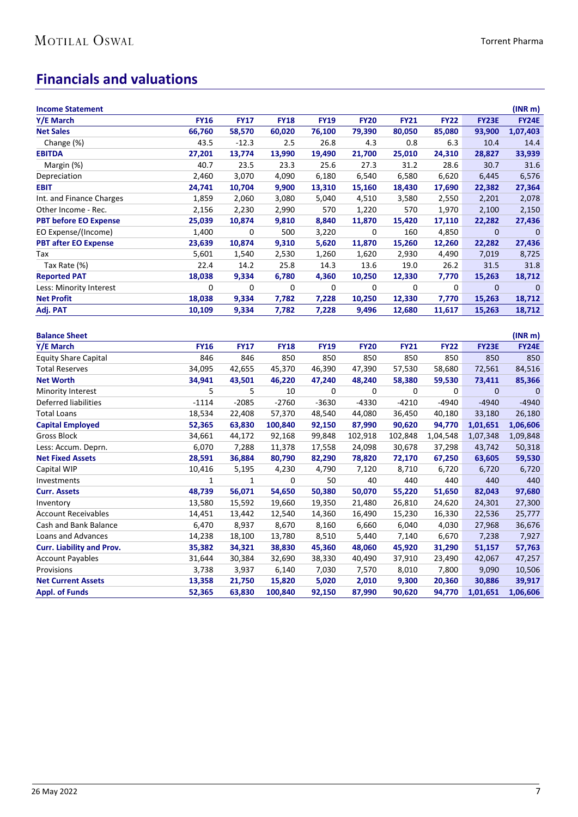## **Financials and valuations**

| <b>Income Statement</b>          |             |             |             |             |             |             |             |              | (INR <sub>m</sub> ) |
|----------------------------------|-------------|-------------|-------------|-------------|-------------|-------------|-------------|--------------|---------------------|
| Y/E March                        | <b>FY16</b> | <b>FY17</b> | <b>FY18</b> | <b>FY19</b> | <b>FY20</b> | <b>FY21</b> | <b>FY22</b> | FY23E        | <b>FY24E</b>        |
| <b>Net Sales</b>                 | 66,760      | 58,570      | 60,020      | 76,100      | 79,390      | 80,050      | 85,080      | 93,900       | 1,07,403            |
| Change (%)                       | 43.5        | $-12.3$     | 2.5         | 26.8        | 4.3         | 0.8         | 6.3         | 10.4         | 14.4                |
| <b>EBITDA</b>                    | 27,201      | 13,774      | 13,990      | 19,490      | 21,700      | 25,010      | 24,310      | 28,827       | 33,939              |
| Margin (%)                       | 40.7        | 23.5        | 23.3        | 25.6        | 27.3        | 31.2        | 28.6        | 30.7         | 31.6                |
| Depreciation                     | 2,460       | 3,070       | 4,090       | 6,180       | 6,540       | 6,580       | 6,620       | 6,445        | 6,576               |
| <b>EBIT</b>                      | 24,741      | 10,704      | 9,900       | 13,310      | 15,160      | 18,430      | 17,690      | 22,382       | 27,364              |
| Int. and Finance Charges         | 1,859       | 2,060       | 3,080       | 5,040       | 4,510       | 3,580       | 2,550       | 2,201        | 2,078               |
| Other Income - Rec.              | 2,156       | 2,230       | 2,990       | 570         | 1,220       | 570         | 1,970       | 2,100        | 2,150               |
| <b>PBT before EO Expense</b>     | 25,039      | 10,874      | 9,810       | 8,840       | 11,870      | 15,420      | 17,110      | 22,282       | 27,436              |
| EO Expense/(Income)              | 1,400       | $\mathbf 0$ | 500         | 3,220       | 0           | 160         | 4,850       | $\mathbf 0$  | $\mathbf 0$         |
| <b>PBT after EO Expense</b>      | 23,639      | 10,874      | 9,310       | 5,620       | 11,870      | 15,260      | 12,260      | 22,282       | 27,436              |
| Tax                              | 5,601       | 1,540       | 2,530       | 1,260       | 1,620       | 2,930       | 4,490       | 7,019        | 8,725               |
| Tax Rate (%)                     | 22.4        | 14.2        | 25.8        | 14.3        | 13.6        | 19.0        | 26.2        | 31.5         | 31.8                |
| <b>Reported PAT</b>              | 18,038      | 9,334       | 6,780       | 4,360       | 10,250      | 12,330      | 7,770       | 15,263       | 18,712              |
| Less: Minority Interest          | $\mathbf 0$ | $\mathbf 0$ | 0           | 0           | 0           | 0           | 0           | 0            | $\mathbf 0$         |
| <b>Net Profit</b>                | 18,038      | 9,334       | 7,782       | 7,228       | 10,250      | 12,330      | 7,770       | 15,263       | 18,712              |
| Adj. PAT                         | 10,109      | 9,334       | 7,782       | 7,228       | 9,496       | 12,680      | 11,617      | 15,263       | 18,712              |
|                                  |             |             |             |             |             |             |             |              |                     |
| <b>Balance Sheet</b>             |             |             |             |             |             |             |             |              | (INR <sub>m</sub> ) |
| Y/E March                        | <b>FY16</b> | <b>FY17</b> | <b>FY18</b> | <b>FY19</b> | <b>FY20</b> | <b>FY21</b> | <b>FY22</b> | <b>FY23E</b> | <b>FY24E</b>        |
| <b>Equity Share Capital</b>      | 846         | 846         | 850         | 850         | 850         | 850         | 850         | 850          | 850                 |
| <b>Total Reserves</b>            | 34,095      | 42,655      | 45,370      | 46,390      | 47,390      | 57,530      | 58,680      | 72,561       | 84,516              |
| <b>Net Worth</b>                 | 34,941      | 43,501      | 46,220      | 47,240      | 48,240      | 58,380      | 59,530      | 73,411       | 85,366              |
| <b>Minority Interest</b>         | 5           | 5           | 10          | 0           | 0           | 0           | 0           | $\mathbf{0}$ | $\mathbf 0$         |
| Deferred liabilities             | $-1114$     | $-2085$     | $-2760$     | $-3630$     | $-4330$     | $-4210$     | $-4940$     | $-4940$      | $-4940$             |
| <b>Total Loans</b>               | 18,534      | 22,408      | 57,370      | 48,540      | 44,080      | 36,450      | 40,180      | 33,180       | 26,180              |
| <b>Capital Employed</b>          | 52,365      | 63,830      | 100,840     | 92,150      | 87,990      | 90,620      | 94,770      | 1,01,651     | 1,06,606            |
| <b>Gross Block</b>               | 34,661      | 44,172      | 92,168      | 99,848      | 102,918     | 102,848     | 1,04,548    | 1,07,348     | 1,09,848            |
| Less: Accum. Deprn.              | 6,070       | 7,288       | 11,378      | 17,558      | 24,098      | 30,678      | 37,298      | 43,742       | 50,318              |
| <b>Net Fixed Assets</b>          | 28,591      | 36,884      | 80,790      | 82,290      | 78,820      | 72,170      | 67,250      | 63,605       | 59,530              |
| Capital WIP                      | 10,416      | 5,195       | 4,230       | 4,790       | 7,120       | 8,710       | 6,720       | 6,720        | 6,720               |
| Investments                      | 1           | 1           | 0           | 50          | 40          | 440         | 440         | 440          | 440                 |
| <b>Curr. Assets</b>              | 48,739      | 56,071      | 54,650      | 50,380      | 50,070      | 55,220      | 51,650      | 82,043       | 97,680              |
| Inventory                        | 13,580      | 15,592      | 19,660      | 19,350      | 21,480      | 26,810      | 24,620      | 24,301       | 27,300              |
| <b>Account Receivables</b>       | 14,451      | 13,442      | 12,540      | 14,360      | 16,490      | 15,230      | 16,330      | 22,536       | 25,777              |
| Cash and Bank Balance            | 6,470       | 8,937       | 8,670       | 8,160       | 6,660       | 6,040       | 4,030       | 27,968       | 36,676              |
| <b>Loans and Advances</b>        | 14,238      | 18,100      | 13,780      | 8,510       | 5,440       | 7,140       | 6,670       | 7,238        | 7,927               |
| <b>Curr. Liability and Prov.</b> | 35,382      | 34,321      | 38,830      | 45,360      | 48,060      | 45,920      | 31,290      | 51,157       | 57,763              |
| <b>Account Payables</b>          | 31,644      | 30,384      | 32,690      | 38,330      | 40,490      | 37,910      | 23,490      | 42,067       | 47,257              |
| Provisions                       | 3,738       | 3,937       | 6,140       | 7,030       | 7,570       | 8,010       | 7,800       | 9,090        | 10,506              |
| <b>Net Current Assets</b>        | 13,358      | 21,750      | 15,820      | 5,020       | 2,010       | 9,300       | 20,360      | 30,886       | 39,917              |
| <b>Appl. of Funds</b>            | 52,365      | 63,830      | 100,840     | 92,150      | 87,990      | 90,620      | 94,770      | 1,01,651     | 1,06,606            |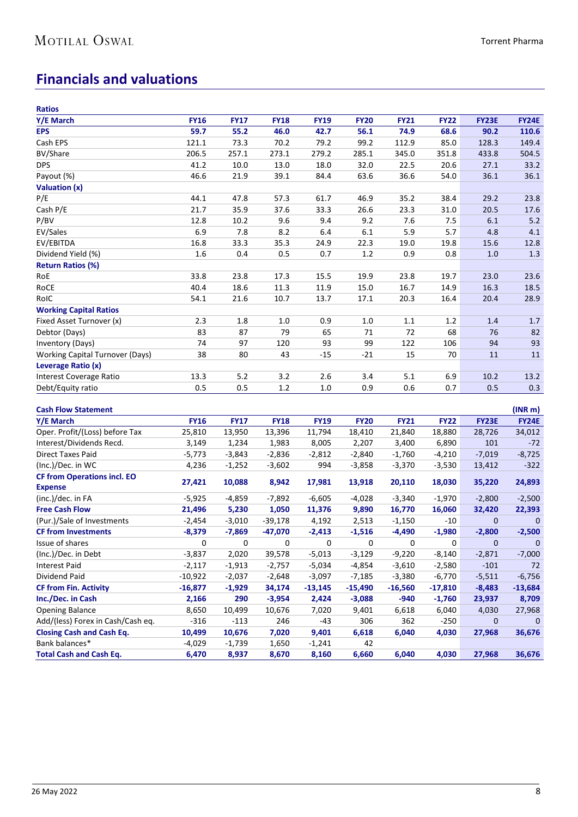## **Financials and valuations**

| <b>Ratios</b>                          |             |             |             |             |             |             |             |              |                     |
|----------------------------------------|-------------|-------------|-------------|-------------|-------------|-------------|-------------|--------------|---------------------|
| Y/E March                              | <b>FY16</b> | <b>FY17</b> | <b>FY18</b> | <b>FY19</b> | <b>FY20</b> | <b>FY21</b> | <b>FY22</b> | <b>FY23E</b> | <b>FY24E</b>        |
| <b>EPS</b>                             | 59.7        | 55.2        | 46.0        | 42.7        | 56.1        | 74.9        | 68.6        | 90.2         | 110.6               |
| Cash EPS                               | 121.1       | 73.3        | 70.2        | 79.2        | 99.2        | 112.9       | 85.0        | 128.3        | 149.4               |
| <b>BV/Share</b>                        | 206.5       | 257.1       | 273.1       | 279.2       | 285.1       | 345.0       | 351.8       | 433.8        | 504.5               |
| <b>DPS</b>                             | 41.2        | 10.0        | 13.0        | 18.0        | 32.0        | 22.5        | 20.6        | 27.1         | 33.2                |
| Payout (%)                             | 46.6        | 21.9        | 39.1        | 84.4        | 63.6        | 36.6        | 54.0        | 36.1         | 36.1                |
| Valuation (x)                          |             |             |             |             |             |             |             |              |                     |
| P/E                                    | 44.1        | 47.8        | 57.3        | 61.7        | 46.9        | 35.2        | 38.4        | 29.2         | 23.8                |
| Cash P/E                               | 21.7        | 35.9        | 37.6        | 33.3        | 26.6        | 23.3        | 31.0        | 20.5         | 17.6                |
| P/BV                                   | 12.8        | 10.2        | 9.6         | 9.4         | 9.2         | 7.6         | 7.5         | 6.1          | 5.2                 |
| EV/Sales                               | 6.9         | 7.8         | 8.2         | 6.4         | 6.1         | 5.9         | 5.7         | 4.8          | 4.1                 |
| EV/EBITDA                              | 16.8        | 33.3        | 35.3        | 24.9        | 22.3        | 19.0        | 19.8        | 15.6         | 12.8                |
| Dividend Yield (%)                     | 1.6         | 0.4         | 0.5         | 0.7         | $1.2\,$     | 0.9         | 0.8         | 1.0          | 1.3                 |
| <b>Return Ratios (%)</b>               |             |             |             |             |             |             |             |              |                     |
| RoE                                    | 33.8        | 23.8        | 17.3        | 15.5        | 19.9        | 23.8        | 19.7        | 23.0         | 23.6                |
| RoCE                                   | 40.4        | 18.6        | 11.3        | 11.9        | 15.0        | 16.7        | 14.9        | 16.3         | 18.5                |
| RoIC                                   | 54.1        | 21.6        | 10.7        | 13.7        | 17.1        | 20.3        | 16.4        | 20.4         | 28.9                |
| <b>Working Capital Ratios</b>          |             |             |             |             |             |             |             |              |                     |
| Fixed Asset Turnover (x)               | 2.3         | 1.8         | 1.0         | 0.9         | $1.0\,$     | $1.1\,$     | 1.2         | 1.4          | 1.7                 |
| Debtor (Days)                          | 83          | 87          | 79          | 65          | 71          | 72          | 68          | 76           | 82                  |
| Inventory (Days)                       | 74          | 97          | 120         | 93          | 99          | 122         | 106         | 94           | 93                  |
| <b>Working Capital Turnover (Days)</b> | 38          | 80          | 43          | $-15$       | $-21$       | 15          | 70          | 11           | 11                  |
| Leverage Ratio (x)                     |             |             |             |             |             |             |             |              |                     |
| Interest Coverage Ratio                | 13.3        | 5.2         | 3.2         | 2.6         | 3.4         | 5.1         | 6.9         | 10.2         | 13.2                |
| Debt/Equity ratio                      | 0.5         | 0.5         | 1.2         | $1.0$       | 0.9         | 0.6         | 0.7         | 0.5          | 0.3                 |
|                                        |             |             |             |             |             |             |             |              |                     |
| <b>Cash Flow Statement</b>             |             |             |             |             |             |             |             |              | (INR <sub>m</sub> ) |
| Y/E March                              | <b>FY16</b> | <b>FY17</b> | <b>FY18</b> | <b>FY19</b> | <b>FY20</b> | <b>FY21</b> | <b>FY22</b> | <b>FY23E</b> | <b>FY24E</b>        |
| Oper. Profit/(Loss) before Tax         | 25,810      | 13,950      | 13,396      | 11,794      | 18,410      | 21,840      | 18,880      | 28,726       | 34,012              |
| Interest/Dividends Recd.               | 3,149       | 1,234       | 1,983       | 8,005       | 2,207       | 3,400       | 6,890       | 101          | $-72$               |
| <b>Direct Taxes Paid</b>               | $-5,773$    | $-3,843$    | $-2,836$    | $-2,812$    | $-2,840$    | $-1,760$    | $-4,210$    | $-7,019$     | $-8,725$            |
| (Inc.)/Dec. in WC                      | 4,236       | $-1,252$    | $-3,602$    | 994         | $-3,858$    | $-3,370$    | $-3,530$    | 13,412       | $-322$              |
| <b>CF from Operations incl. EO</b>     |             |             |             |             |             |             |             |              |                     |
| <b>Expense</b>                         | 27,421      | 10,088      | 8,942       | 17,981      | 13,918      | 20,110      | 18,030      | 35,220       | 24,893              |
| (inc.)/dec. in FA                      | $-5,925$    | $-4,859$    | $-7,892$    | $-6,605$    | $-4,028$    | $-3,340$    | $-1,970$    | $-2,800$     | $-2,500$            |
| <b>Free Cash Flow</b>                  | 21,496      | 5,230       | 1,050       | 11,376      | 9,890       | 16,770      | 16,060      | 32,420       | 22,393              |
| (Pur.)/Sale of Investments             | $-2,454$    | $-3,010$    | $-39,178$   | 4,192       | 2,513       | $-1,150$    | $-10$       | 0            | $\Omega$            |
| <b>CF from Investments</b>             | $-8,379$    | $-7,869$    | $-47,070$   | $-2,413$    | $-1,516$    | $-4,490$    | $-1,980$    | $-2,800$     | $-2,500$            |
| Issue of shares                        | 0           | 0           | 0           | 0           | 0           | 0           | 0           | 0            | $\mathbf{0}$        |
| (Inc.)/Dec. in Debt                    | $-3,837$    | 2,020       | 39,578      | $-5,013$    | $-3,129$    | $-9,220$    | $-8,140$    | $-2,871$     | $-7,000$            |
| <b>Interest Paid</b>                   | $-2,117$    | $-1,913$    | $-2,757$    | $-5,034$    | -4,854      | $-3,610$    | $-2,580$    | $-101$       | 72                  |
| Dividend Paid                          | $-10,922$   | $-2,037$    | $-2,648$    | $-3,097$    | $-7,185$    | $-3,380$    | $-6,770$    | $-5,511$     | $-6,756$            |
| <b>CF from Fin. Activity</b>           | $-16,877$   | $-1,929$    | 34,174      | $-13,145$   | $-15,490$   | $-16,560$   | $-17,810$   | $-8,483$     | $-13,684$           |
| Inc./Dec. in Cash                      | 2,166       | 290         | $-3,954$    | 2,424       | $-3,088$    | $-940$      | $-1,760$    | 23,937       | 8,709               |
| <b>Opening Balance</b>                 | 8,650       | 10,499      | 10,676      | 7,020       | 9,401       | 6,618       | 6,040       | 4,030        | 27,968              |
| Add/(less) Forex in Cash/Cash eq.      | $-316$      | $-113$      | 246         | $-43$       | 306         | 362         | $-250$      | 0            | 0                   |
| <b>Closing Cash and Cash Eq.</b>       | 10,499      | 10,676      | 7,020       | 9,401       | 6,618       | 6,040       | 4,030       | 27,968       | 36,676              |
| Bank balances*                         | $-4,029$    | $-1,739$    | 1,650       | $-1,241$    | 42          |             |             |              |                     |
| <b>Total Cash and Cash Eq.</b>         | 6,470       | 8,937       | 8,670       | 8,160       | 6,660       | 6,040       | 4,030       | 27,968       | 36,676              |
|                                        |             |             |             |             |             |             |             |              |                     |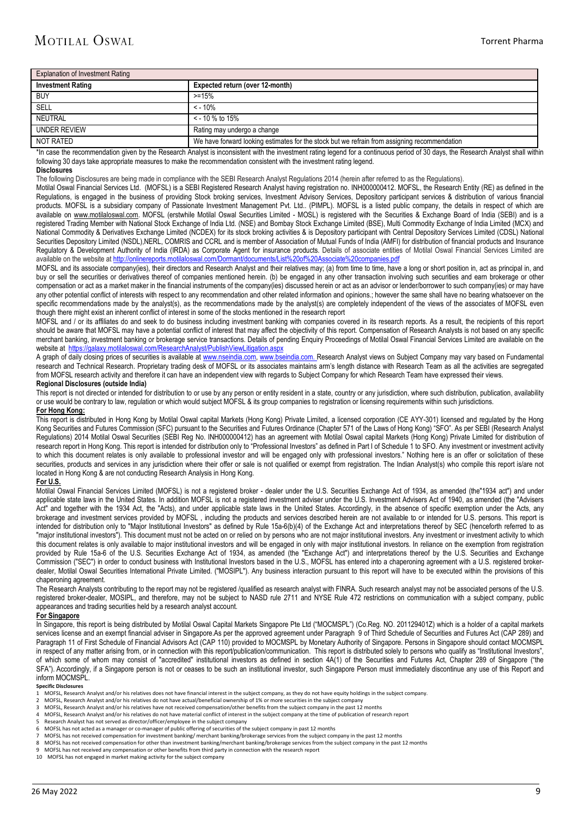| <b>Explanation of Investment Rating</b> |                                                                                              |  |  |  |  |
|-----------------------------------------|----------------------------------------------------------------------------------------------|--|--|--|--|
| <b>Investment Rating</b>                | Expected return (over 12-month)                                                              |  |  |  |  |
| <b>BUY</b>                              | $> = 15%$                                                                                    |  |  |  |  |
| SELL                                    | $< -10%$                                                                                     |  |  |  |  |
| NEUTRAL                                 | $\le$ - 10 % to 15%                                                                          |  |  |  |  |
| <b>UNDER REVIEW</b>                     | Rating may undergo a change                                                                  |  |  |  |  |
| NOT RATED                               | We have forward looking estimates for the stock but we refrain from assigning recommendation |  |  |  |  |

\*In case the recommendation given by the Research Analyst is inconsistent with the investment rating legend for a continuous period of 30 days, the Research Analyst shall within following 30 days take appropriate measures to make the recommendation consistent with the investment rating legend.

#### **Disclosures**

The following Disclosures are being made in compliance with the SEBI Research Analyst Regulations 2014 (herein after referred to as the Regulations).

Motilal Oswal Financial Services Ltd. (MOFSL) is a SEBI Registered Research Analyst having registration no. INH000000412. MOFSL, the Research Entity (RE) as defined in the Regulations, is engaged in the business of providing Stock broking services, Investment Advisory Services, Depository participant services & distribution of various financial products. MOFSL is a subsidiary company of Passionate Investment Management Pvt. Ltd.. (PIMPL). MOFSL is a listed public company, the details in respect of which are available on [www.motilaloswal.com.](http://www.motilaloswal.com/) MOFSL (erstwhile Motilal Oswal Securities Limited - MOSL) is registered with the Securities & Exchange Board of India (SEBI) and is a registered Trading Member with National Stock Exchange of India Ltd. (NSE) and Bombay Stock Exchange Limited (BSE), Multi Commodity Exchange of India Limited (MCX) and National Commodity & Derivatives Exchange Limited (NCDEX) for its stock broking activities & is Depository participant with Central Depository Services Limited (CDSL) National Securities Depository Limited (NSDL),NERL, COMRIS and CCRL and is member of Association of Mutual Funds of India (AMFI) for distribution of financial products and Insurance Regulatory & Development Authority of India (IRDA) as Corporate Agent for insurance products. Details of associate entities of Motilal Oswal Financial Services Limited are available on the website a[t http://onlinereports.motilaloswal.com/Dormant/documents/List%20of%20Associate%20companies.pdf](http://onlinereports.motilaloswal.com/Dormant/documents/List%20of%20Associate%20companies.pdf)

MOFSL and its associate company(ies), their directors and Research Analyst and their relatives may; (a) from time to time, have a long or short position in, act as principal in, and<br>MOFSL and its associate company(ies), th buy or sell the securities or derivatives thereof of companies mentioned herein. (b) be engaged in any other transaction involving such securities and earn brokerage or other compensation or act as a market maker in the financial instruments of the company(ies) discussed herein or act as an advisor or lender/borrower to such company(ies) or may have any other potential conflict of interests with respect to any recommendation and other related information and opinions.; however the same shall have no bearing whatsoever on the specific recommendations made by the analyst(s), as the recommendations made by the analyst(s) are completely independent of the views of the associates of MOFSL even though there might exist an inherent conflict of interest in some of the stocks mentioned in the research report

MOFSL and / or its affiliates do and seek to do business including investment banking with companies covered in its research reports. As a result, the recipients of this report should be aware that MOFSL may have a potential conflict of interest that may affect the objectivity of this report. Compensation of Research Analysts is not based on any specific merchant banking, investment banking or brokerage service transactions. Details of pending Enquiry Proceedings of Motilal Oswal Financial Services Limited are available on the website at<https://galaxy.motilaloswal.com/ResearchAnalyst/PublishViewLitigation.aspx>

A graph of daily closing prices of securities is available a[t www.nseindia.com,](http://www.nseindia.com/) [www.bseindia.com.](http://www.bseindia.com/) Research Analyst views on Subject Company may vary based on Fundamental research and Technical Research. Proprietary trading desk of MOFSL or its associates maintains arm's length distance with Research Team as all the activities are segregated from MOFSL research activity and therefore it can have an independent view with regards to Subject Company for which Research Team have expressed their views.

#### **Regional Disclosures (outside India)**

This report is not directed or intended for distribution to or use by any person or entity resident in a state, country or any jurisdiction, where such distribution, publication, availability or use would be contrary to law, regulation or which would subject MOFSL & its group companies to registration or licensing requirements within such jurisdictions. **For Hong Kong:** 

This report is distributed in Hong Kong by Motilal Oswal capital Markets (Hong Kong) Private Limited, a licensed corporation (CE AYY-301) licensed and regulated by the Hong Kong Securities and Futures Commission (SFC) pursuant to the Securities and Futures Ordinance (Chapter 571 of the Laws of Hong Kong) "SFO". As per SEBI (Research Analyst Regulations) 2014 Motilal Oswal Securities (SEBI Reg No. INH000000412) has an agreement with Motilal Oswal capital Markets (Hong Kong) Private Limited for distribution of research report in Hong Kong. This report is intended for distribution only to "Professional Investors" as defined in Part I of Schedule 1 to SFO. Any investment or investment activity to which this document relates is only available to professional investor and will be engaged only with professional investors." Nothing here is an offer or solicitation of these securities, products and services in any jurisdiction where their offer or sale is not qualified or exempt from registration. The Indian Analyst(s) who compile this report is/are not located in Hong Kong & are not conducting Research Analysis in Hong Kong.

### **For U.S.**

Motilal Oswal Financial Services Limited (MOFSL) is not a registered broker - dealer under the U.S. Securities Exchange Act of 1934, as amended (the 1934 act") and under applicable state laws in the United States. In addition MOFSL is not a registered investment adviser under the U.S. Investment Advisers Act of 1940, as amended (the "Advisers Act" and together with the 1934 Act, the "Acts), and under applicable state laws in the United States. Accordingly, in the absence of specific exemption under the Acts, any brokerage and investment services provided by MOFSL , including the products and services described herein are not available to or intended for U.S. persons. This report is intended for distribution only to "Major Institutional Investors" as defined by Rule 15a-6(b)(4) of the Exchange Act and interpretations thereof by SEC (henceforth referred to as "major institutional investors"). This document must not be acted on or relied on by persons who are not major institutional investors. Any investment or investment activity to which this document relates is only available to major institutional investors and will be engaged in only with major institutional investors. In reliance on the exemption from registration provided by Rule 15a-6 of the U.S. Securities Exchange Act of 1934, as amended (the "Exchange Act") and interpretations thereof by the U.S. Securities and Exchange Commission ("SEC") in order to conduct business with Institutional Investors based in the U.S., MOFSL has entered into a chaperoning agreement with a U.S. registered brokerdealer, Motilal Oswal Securities International Private Limited. ("MOSIPL"). Any business interaction pursuant to this report will have to be executed within the provisions of this chaperoning agreement.

The Research Analysts contributing to the report may not be registered /qualified as research analyst with FINRA. Such research analyst may not be associated persons of the U.S. registered broker-dealer, MOSIPL, and therefore, may not be subject to NASD rule 2711 and NYSE Rule 472 restrictions on communication with a subject company, public appearances and trading securities held by a research analyst account.

#### **For Singapore**

In Singapore, this report is being distributed by Motilal Oswal Capital Markets Singapore Pte Ltd ("MOCMSPL") (Co.Reg. NO. 201129401Z) which is a holder of a capital markets services license and an exempt financial adviser in Singapore.As per the approved agreement under Paragraph 9 of Third Schedule of Securities and Futures Act (CAP 289) and Paragraph 11 of First Schedule of Financial Advisors Act (CAP 110) provided to MOCMSPL by Monetary Authority of Singapore. Persons in Singapore should contact MOCMSPL in respect of any matter arising from, or in connection with this report/publication/communication. This report is distributed solely to persons who qualify as "Institutional Investors", of which some of whom may consist of "accredited" institutional investors as defined in section 4A(1) of the Securities and Futures Act, Chapter 289 of Singapore ("the SFA"). Accordingly, if a Singapore person is not or ceases to be such an institutional investor, such Singapore Person must immediately discontinue any use of this Report and inform MOCMSPL.

#### **Specific Disclosures**

- MOFSL. Research Analyst and/or his relatives does not have financial interest in the subject company, as they do not have equity holdings in the subject company.
- 2 MOFSL, Research Analyst and/or his relatives do not have actual/beneficial ownership of 1% or more securities in the subject company<br>3 MOFSL, Research Analyst and/or his relatives have not received compensation/other ben
- 3 MOFSL, Research Analyst and/or his relatives have not received compensation/other benefits from the subject company in the past 12 months
- 4 MOFSL, Research Analyst and/or his relatives do not have material conflict of interest in the subject company at the time of publication of research report 5 Research analyst has not served as director/officer/employee i
- 5 Research Analyst has not served as director/officer/employee in the subject company<br>6 MOFSI has not acted as a manager or co-manager of public offering of securities of the
- 6 MOFSL has not acted as a manager or co-manager of public offering of securities of the subject company in past 12 months
- 7 MOFSL has not received compensation for investment banking/ merchant banking/brokerage services from the subject company in the past 12 months
- 8 MOFSL has not received compensation for other than investment banking/merchant banking/brokerage services from the subject company in the past 12 months
- 9 MOFSL has not received any compensation or other benefits from third party in connection with the research report 10 MOFSL has not engaged in market making activity for the subject company
-